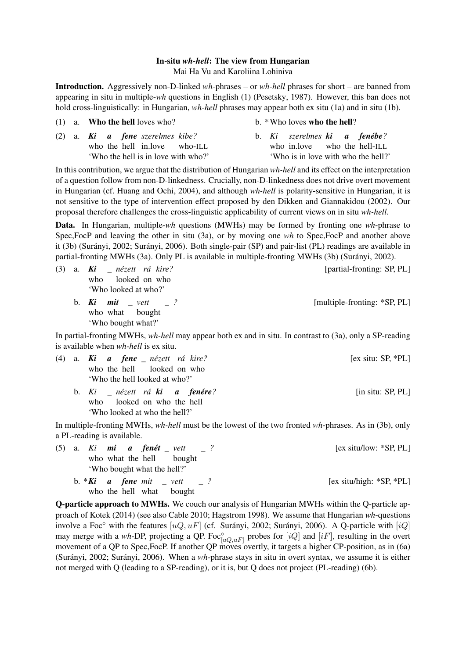## In-situ *wh-hell*: The view from Hungarian Mai Ha Vu and Karoliina Lohiniva

Introduction. Aggressively non-D-linked *wh*-phrases – or *wh-hell* phrases for short – are banned from appearing in situ in multiple-*wh* questions in English (1) (Pesetsky, 1987). However, this ban does not hold cross-linguistically: in Hungarian, *wh-hell* phrases may appear both ex situ (1a) and in situ (1b).

|  | $(1)$ a. <b>Who the hell</b> loves who?   | b. *Who loves who the hell?         |  |  |  |
|--|-------------------------------------------|-------------------------------------|--|--|--|
|  | $(2)$ a. <b>Ki a fene</b> szerelmes kibe? | b. Ki szerelmes ki a fenébe?        |  |  |  |
|  | who the hell in.love who-ILL              | who inlove who the hell-ILL         |  |  |  |
|  | 'Who the hell is in love with who?'       | 'Who is in love with who the hell?' |  |  |  |

In this contribution, we argue that the distribution of Hungarian *wh-hell* and its effect on the interpretation of a question follow from non-D-linkedness. Crucially, non-D-linkedness does not drive overt movement in Hungarian (cf. Huang and Ochi, 2004), and although *wh-hell* is polarity-sensitive in Hungarian, it is not sensitive to the type of intervention effect proposed by den Dikken and Giannakidou (2002). Our proposal therefore challenges the cross-linguistic applicability of current views on in situ *wh-hell*.

Data. In Hungarian, multiple-*wh* questions (MWHs) may be formed by fronting one *wh*-phrase to Spec,FocP and leaving the other in situ (3a), or by moving one *wh* to Spec,FocP and another above it (3b) (Surányi, 2002; Surányi, 2006). Both single-pair (SP) and pair-list (PL) readings are available in partial-fronting MWHs (3a). Only PL is available in multiple-fronting MWHs (3b) (Surányi, 2002).

| (3)                                                                                                                  | a. <b>Ki</b> <sub>—</sub> nézett rá kire?<br>looked on who<br>who<br>'Who looked at who?'                       | [partial-fronting: SP, PL]         |  |  |  |  |  |
|----------------------------------------------------------------------------------------------------------------------|-----------------------------------------------------------------------------------------------------------------|------------------------------------|--|--|--|--|--|
|                                                                                                                      | b. Ki mit $e^+$ vett $e^-$ ?<br>who what bought<br>'Who bought what?'                                           | [multiple-fronting: *SP, PL]       |  |  |  |  |  |
| In partial-fronting MWHs, $wh\text{-}hell$ may appear both ex and in situ. In contrast to $(3a)$ , only a SP-reading |                                                                                                                 |                                    |  |  |  |  |  |
| is available when <i>wh-hell</i> is ex situ.                                                                         |                                                                                                                 |                                    |  |  |  |  |  |
|                                                                                                                      | (4) a. Ki $\alpha$ fene $\alpha$ nézett rá kire?<br>who the hell looked on who<br>'Who the hell looked at who?' | $[ex\; situ: SP, *PL]$             |  |  |  |  |  |
|                                                                                                                      | b. Ki _ nézett rá ki a fenére?<br>looked on who the hell<br>who<br>'Who looked at who the hell?'                | $\left[$ in situ: SP, PL $\right]$ |  |  |  |  |  |

In multiple-fronting MWHs, *wh-hell* must be the lowest of the two fronted *wh*-phrases. As in (3b), only a PL-reading is available.

|  |                                     |  |                             |  | (5) a. Ki mi a fenét $-$ vett $-$ ? | [ex situ/low: $*SP, PL$ ]   |
|--|-------------------------------------|--|-----------------------------|--|-------------------------------------|-----------------------------|
|  |                                     |  | who what the hell bought    |  |                                     |                             |
|  |                                     |  | 'Who bought what the hell?' |  |                                     |                             |
|  | b. $*Ki \t a \t fene mit \t - vett$ |  |                             |  |                                     | [ex situ/high: $*SP, *PL$ ] |

who the hell what bought

Q-particle approach to MWHs. We couch our analysis of Hungarian MWHs within the Q-particle approach of Kotek (2014) (see also Cable 2010; Hagstrom 1998). We assume that Hungarian *wh*-questions involve a Foc $\circ$  with the features  $[uQ, uF]$  (cf. Surányi, 2002; Surányi, 2006). A Q-particle with  $[iQ]$ may merge with a *wh*-DP, projecting a QP. Foc<sup>°</sup><sub>[*uQ,uF*]</sub> probes for [*iQ*] and [*iF*], resulting in the overt movement of a QP to Spec,FocP. If another QP moves overtly, it targets a higher CP-position, as in (6a) (Surányi, 2002; Surányi, 2006). When a *wh*-phrase stays in situ in overt syntax, we assume it is either not merged with Q (leading to a SP-reading), or it is, but Q does not project (PL-reading) (6b).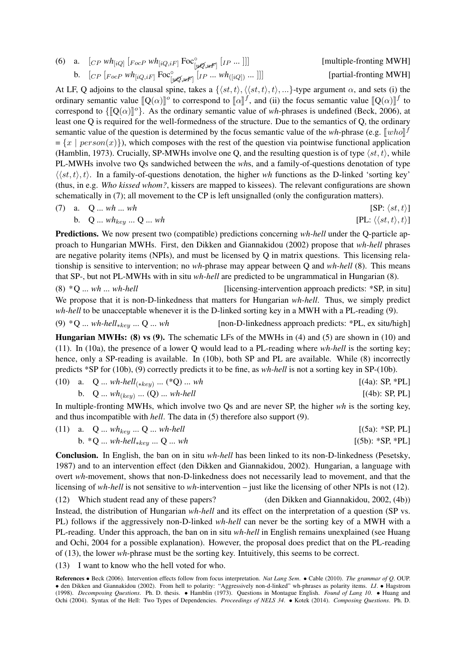## (6) a.  $[CPwh_{[iQ]}$   $[F_{ocP}wh_{[iQ,iF]}$   $\text{Foc}^{\circ}_{[\psi \phi,\psi F]}$ [multiple-fronting MWH] b.  $[CP [F_{ocP} wh_{[iQ,iF]} Foc^{\circ}_{[\psi \phi,\mu F]} [IP ... wh_{([iQ])} ...]]]$  [partial-fronting MWH]

At LF, Q adjoins to the clausal spine, takes a  $\{\langle st, t \rangle, \langle \langle st, t \rangle, t \rangle, ...\}$ -type argument  $\alpha$ , and sets (i) the ordinary semantic value  $[\mathbb{Q}(\alpha)]^{\circ}$  to correspond to  $[\alpha]^f$ , and (ii) the focus semantic value  $[\mathbb{Q}(\alpha)]^f$  to correspond to  $[\mathbb{Q}(\alpha)]^{\circ}$  to correspond to  $[\mathbb{Q}(\alpha)]^{\circ}$ correspond to  $\{\llbracket Q(\alpha)\rrbracket^o\}$ . As the ordinary semantic value of *wh*-phrases is undefined (Beck, 2006), at least one O is required for the vall formedness of the structure. Due to the semantics of O the ordinary least one Q is required for the well-formedness of the structure. Due to the semantics of Q, the ordinary semantic value of the question is determined by the focus semantic value of the *wh*-phrase (e.g.  $[[wh_0]]$ )<br> $-[x]$  gaugar(x))), which composes with the rest of the question via pointwise functional emplication  $=\{x \mid person(x)\}\)$ , which composes with the rest of the question via pointwise functional application (Hamblin, 1973). Crucially, SP-MWHs involve one Q, and the resulting question is of type  $\langle st, t \rangle$ , while PL-MWHs involve two Qs sandwiched between the *wh*s, and a family-of-questions denotation of type  $\langle \langle st, t \rangle, t \rangle$ . In a family-of-questions denotation, the higher *wh* functions as the D-linked 'sorting key' (thus, in e.g. *Who kissed whom?*, kissers are mapped to kissees). The relevant configurations are shown schematically in (7); all movement to the CP is left unsignalled (only the configuration matters).

(7) a. Q... wh... wh  
b. Q... wh<sub>key</sub>... Q... wh  
[**PL**: 
$$
\langle st, t \rangle
$$
]

Predictions. We now present two (compatible) predictions concerning *wh-hell* under the Q-particle approach to Hungarian MWHs. First, den Dikken and Giannakidou (2002) propose that *wh-hell* phrases are negative polarity items (NPIs), and must be licensed by Q in matrix questions. This licensing relationship is sensitive to intervention; no *wh*-phrase may appear between Q and *wh-hell* (8). This means that SP-, but not PL-MWHs with in situ *wh-hell* are predicted to be ungrammatical in Hungarian (8).

(8) \*Q ... *wh* ... *wh-hell* [licensing-intervention approach predicts: \*SP, in situ] We propose that it is non-D-linkedness that matters for Hungarian *wh-hell*. Thus, we simply predict *wh-hell* to be unacceptable whenever it is the D-linked sorting key in a MWH with a PL-reading (9).

(9) \*Q ... *wh-hell*∗key ... Q ... *wh* [non-D-linkedness approach predicts: \*PL, ex situ/high]

Hungarian MWHs: (8) vs (9). The schematic LFs of the MWHs in (4) and (5) are shown in (10) and (11). In (10a), the presence of a lower Q would lead to a PL-reading where *wh-hell* is the sorting key; hence, only a SP-reading is available. In (10b), both SP and PL are available. While (8) incorrectly predicts \*SP for (10b), (9) correctly predicts it to be fine, as *wh-hell* is not a sorting key in SP-(10b).

(10) a. Q ... *wh-hell*<sub>(\*key)</sub> ... (\*Q) ... *wh* [(4a): SP, \*PL] b. Q ...  $wh_{(key)}$  ... (Q) ...  $wh\text{-}hell$  [(4b): SP, PL]

In multiple-fronting MWHs, which involve two Qs and are never SP, the higher *wh* is the sorting key, and thus incompatible with *hell*. The data in (5) therefore also support (9).

(11) a.  $Q_{...} wh_{key} ... Q_{...} wh\text{-}hell$  [(5a): \*SP, PL] b.  $*Q$  ... *wh-hell*<sub>\*key</sub> ... Q ... *wh* [(5b):  $*SP$ , \*PL]

Conclusion. In English, the ban on in situ *wh-hell* has been linked to its non-D-linkedness (Pesetsky, 1987) and to an intervention effect (den Dikken and Giannakidou, 2002). Hungarian, a language with overt *wh*-movement, shows that non-D-linkedness does not necessarily lead to movement, and that the licensing of *wh-hell* is not sensitive to *wh*-intervention – just like the licensing of other NPIs is not (12).

(12) Which student read any of these papers? (den Dikken and Giannakidou, 2002, (4b)) Instead, the distribution of Hungarian *wh-hell* and its effect on the interpretation of a question (SP vs. PL) follows if the aggressively non-D-linked *wh-hell* can never be the sorting key of a MWH with a PL-reading. Under this approach, the ban on in situ *wh-hell* in English remains unexplained (see Huang and Ochi, 2004 for a possible explanation). However, the proposal does predict that on the PL-reading of (13), the lower *wh*-phrase must be the sorting key. Intuitively, this seems to be correct.

(13) I want to know who the hell voted for who.

References • Beck (2006). Intervention effects follow from focus interpretation. *Nat Lang Sem*. • Cable (2010). *The grammar of Q*. OUP. • den Dikken and Giannakidou (2002). From hell to polarity: "Aggressively non-d-linked" wh-phrases as polarity items. *LI*. • Hagstrom (1998). *Decomposing Questions*. Ph. D. thesis. • Hamblin (1973). Questions in Montague English. *Found of Lang 10*. • Huang and Ochi (2004). Syntax of the Hell: Two Types of Dependencies. *Proceedings of NELS 34*. • Kotek (2014). *Composing Questions*. Ph. D.